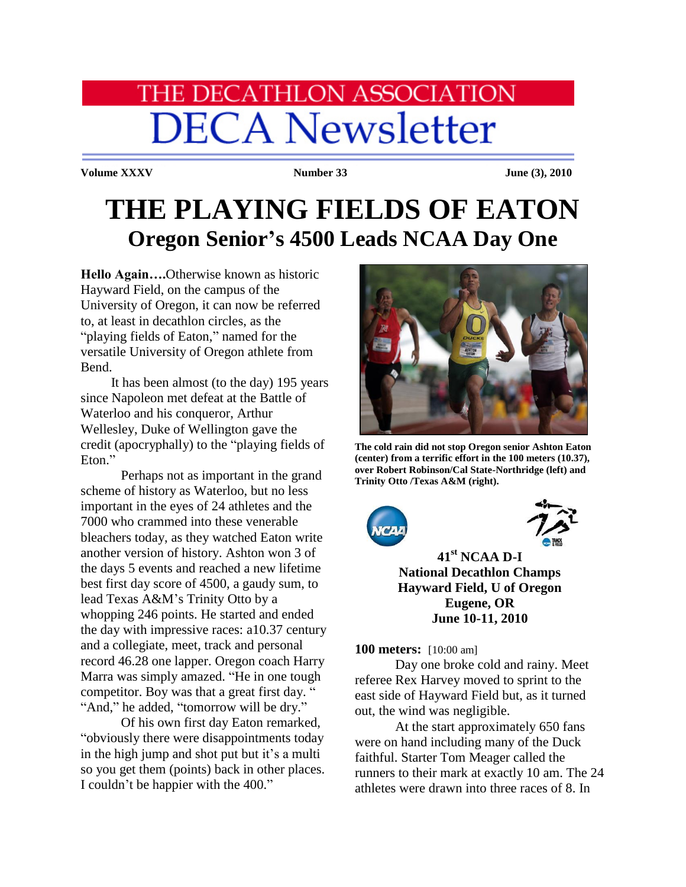# HE DECATHLON ASSOCIATION **DECA Newsletter**

**Volume XXXV Number 33 Iune (3), 2010** 

## **THE PLAYING FIELDS OF EATON Oregon Senior's 4500 Leads NCAA Day One**

**Hello Again….**Otherwise known as historic Hayward Field, on the campus of the University of Oregon, it can now be referred to, at least in decathlon circles, as the "playing fields of Eaton," named for the versatile University of Oregon athlete from Bend.

 It has been almost (to the day) 195 years since Napoleon met defeat at the Battle of Waterloo and his conqueror, Arthur Wellesley, Duke of Wellington gave the credit (apocryphally) to the "playing fields of Eton."

Perhaps not as important in the grand scheme of history as Waterloo, but no less important in the eyes of 24 athletes and the 7000 who crammed into these venerable bleachers today, as they watched Eaton write another version of history. Ashton won 3 of the days 5 events and reached a new lifetime best first day score of 4500, a gaudy sum, to lead Texas A&M's Trinity Otto by a whopping 246 points. He started and ended the day with impressive races: a10.37 century and a collegiate, meet, track and personal record 46.28 one lapper. Oregon coach Harry Marra was simply amazed. "He in one tough competitor. Boy was that a great first day. " "And," he added, "tomorrow will be dry."

 Of his own first day Eaton remarked, "obviously there were disappointments today in the high jump and shot put but it's a multi so you get them (points) back in other places. I couldn't be happier with the 400."



**The cold rain did not stop Oregon senior Ashton Eaton (center) from a terrific effort in the 100 meters (10.37), over Robert Robinson/Cal State-Northridge (left) and Trinity Otto /Texas A&M (right).**





**41st NCAA D-I National Decathlon Champs Hayward Field, U of Oregon Eugene, OR June 10-11, 2010**

**100 meters:** [10:00 am]

Day one broke cold and rainy. Meet referee Rex Harvey moved to sprint to the east side of Hayward Field but, as it turned out, the wind was negligible.

At the start approximately 650 fans were on hand including many of the Duck faithful. Starter Tom Meager called the runners to their mark at exactly 10 am. The 24 athletes were drawn into three races of 8. In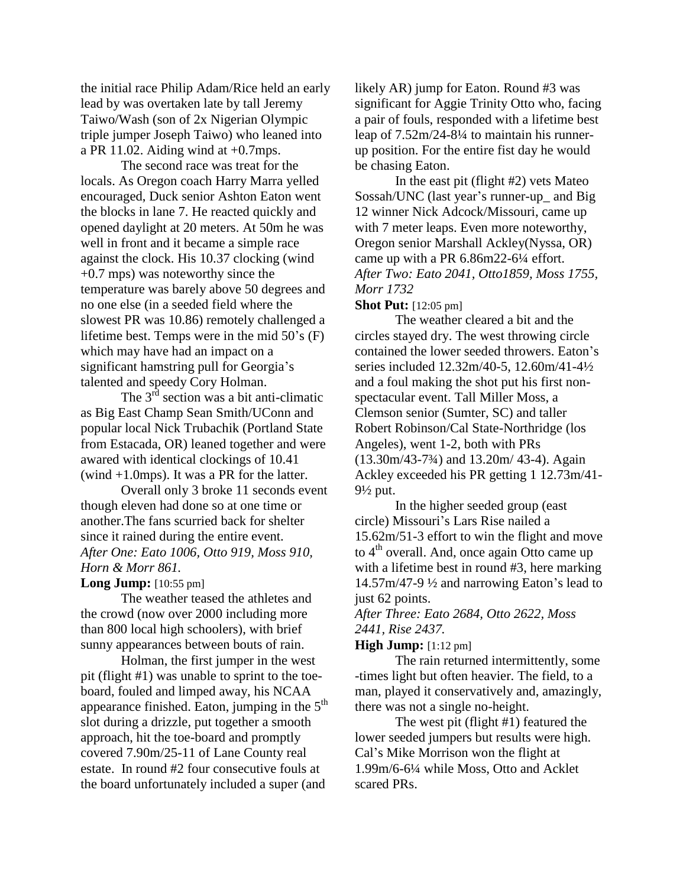the initial race Philip Adam/Rice held an early lead by was overtaken late by tall Jeremy Taiwo/Wash (son of 2x Nigerian Olympic triple jumper Joseph Taiwo) who leaned into a PR 11.02. Aiding wind at  $+0.7$ mps.

The second race was treat for the locals. As Oregon coach Harry Marra yelled encouraged, Duck senior Ashton Eaton went the blocks in lane 7. He reacted quickly and opened daylight at 20 meters. At 50m he was well in front and it became a simple race against the clock. His 10.37 clocking (wind +0.7 mps) was noteworthy since the temperature was barely above 50 degrees and no one else (in a seeded field where the slowest PR was 10.86) remotely challenged a lifetime best. Temps were in the mid 50's (F) which may have had an impact on a significant hamstring pull for Georgia's talented and speedy Cory Holman.

The  $3^{rd}$  section was a bit anti-climatic as Big East Champ Sean Smith/UConn and popular local Nick Trubachik (Portland State from Estacada, OR) leaned together and were awared with identical clockings of 10.41 (wind +1.0mps). It was a PR for the latter.

Overall only 3 broke 11 seconds event though eleven had done so at one time or another.The fans scurried back for shelter since it rained during the entire event. *After One: Eato 1006, Otto 919, Moss 910, Horn & Morr 861.*

#### **Long Jump:** [10:55 pm]

The weather teased the athletes and the crowd (now over 2000 including more than 800 local high schoolers), with brief sunny appearances between bouts of rain.

Holman, the first jumper in the west pit (flight #1) was unable to sprint to the toeboard, fouled and limped away, his NCAA appearance finished. Eaton, jumping in the 5<sup>th</sup> slot during a drizzle, put together a smooth approach, hit the toe-board and promptly covered 7.90m/25-11 of Lane County real estate. In round #2 four consecutive fouls at the board unfortunately included a super (and

likely AR) jump for Eaton. Round #3 was significant for Aggie Trinity Otto who, facing a pair of fouls, responded with a lifetime best leap of 7.52m/24-8¼ to maintain his runnerup position. For the entire fist day he would be chasing Eaton.

In the east pit (flight #2) vets Mateo Sossah/UNC (last year's runner-up\_ and Big 12 winner Nick Adcock/Missouri, came up with 7 meter leaps. Even more noteworthy, Oregon senior Marshall Ackley(Nyssa, OR) came up with a PR 6.86m22-6¼ effort. *After Two: Eato 2041, Otto1859, Moss 1755, Morr 1732*

**Shot Put:** [12:05 pm]

The weather cleared a bit and the circles stayed dry. The west throwing circle contained the lower seeded throwers. Eaton's series included 12.32m/40-5, 12.60m/41-4½ and a foul making the shot put his first nonspectacular event. Tall Miller Moss, a Clemson senior (Sumter, SC) and taller Robert Robinson/Cal State-Northridge (los Angeles), went 1-2, both with PRs (13.30m/43-7¾) and 13.20m/ 43-4). Again Ackley exceeded his PR getting 1 12.73m/41-  $9\frac{1}{2}$  put.

In the higher seeded group (east circle) Missouri's Lars Rise nailed a 15.62m/51-3 effort to win the flight and move to  $4<sup>th</sup>$  overall. And, once again Otto came up with a lifetime best in round #3, here marking 14.57m/47-9 ½ and narrowing Eaton's lead to just 62 points.

*After Three: Eato 2684, Otto 2622, Moss 2441, Rise 2437.*

**High Jump:** [1:12 pm]

The rain returned intermittently, some -times light but often heavier. The field, to a man, played it conservatively and, amazingly, there was not a single no-height.

The west pit (flight #1) featured the lower seeded jumpers but results were high. Cal's Mike Morrison won the flight at 1.99m/6-6¼ while Moss, Otto and Acklet scared PRs.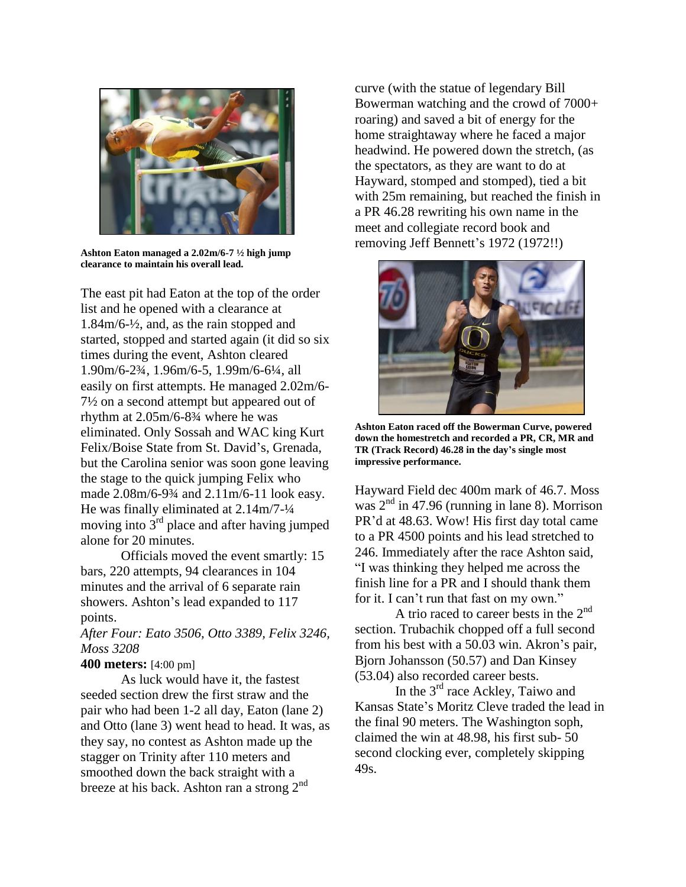

**Ashton Eaton managed a 2.02m/6-7 ½ high jump clearance to maintain his overall lead.**

The east pit had Eaton at the top of the order list and he opened with a clearance at 1.84m/6-½, and, as the rain stopped and started, stopped and started again (it did so six times during the event, Ashton cleared 1.90m/6-2¾, 1.96m/6-5, 1.99m/6-6¼, all easily on first attempts. He managed 2.02m/6- 7½ on a second attempt but appeared out of rhythm at 2.05m/6-8¾ where he was eliminated. Only Sossah and WAC king Kurt Felix/Boise State from St. David's, Grenada, but the Carolina senior was soon gone leaving the stage to the quick jumping Felix who made 2.08m/6-9¾ and 2.11m/6-11 look easy. He was finally eliminated at 2.14m/7-¼ moving into  $3<sup>rd</sup>$  place and after having jumped alone for 20 minutes.

Officials moved the event smartly: 15 bars, 220 attempts, 94 clearances in 104 minutes and the arrival of 6 separate rain showers. Ashton's lead expanded to 117 points.

*After Four: Eato 3506, Otto 3389, Felix 3246, Moss 3208*

#### **400 meters:** [4:00 pm]

As luck would have it, the fastest seeded section drew the first straw and the pair who had been 1-2 all day, Eaton (lane 2) and Otto (lane 3) went head to head. It was, as they say, no contest as Ashton made up the stagger on Trinity after 110 meters and smoothed down the back straight with a breeze at his back. Ashton ran a strong 2<sup>nd</sup>

curve (with the statue of legendary Bill Bowerman watching and the crowd of 7000+ roaring) and saved a bit of energy for the home straightaway where he faced a major headwind. He powered down the stretch, (as the spectators, as they are want to do at Hayward, stomped and stomped), tied a bit with 25m remaining, but reached the finish in a PR 46.28 rewriting his own name in the meet and collegiate record book and removing Jeff Bennett's 1972 (1972!!)



**Ashton Eaton raced off the Bowerman Curve, powered down the homestretch and recorded a PR, CR, MR and TR (Track Record) 46.28 in the day's single most impressive performance.**

Hayward Field dec 400m mark of 46.7. Moss was  $2<sup>nd</sup>$  in 47.96 (running in lane 8). Morrison PR'd at 48.63. Wow! His first day total came to a PR 4500 points and his lead stretched to 246. Immediately after the race Ashton said, "I was thinking they helped me across the finish line for a PR and I should thank them for it. I can't run that fast on my own."

A trio raced to career bests in the  $2<sup>nd</sup>$ section. Trubachik chopped off a full second from his best with a 50.03 win. Akron's pair, Bjorn Johansson (50.57) and Dan Kinsey (53.04) also recorded career bests.

In the 3<sup>rd</sup> race Ackley, Taiwo and Kansas State's Moritz Cleve traded the lead in the final 90 meters. The Washington soph, claimed the win at 48.98, his first sub- 50 second clocking ever, completely skipping 49s.